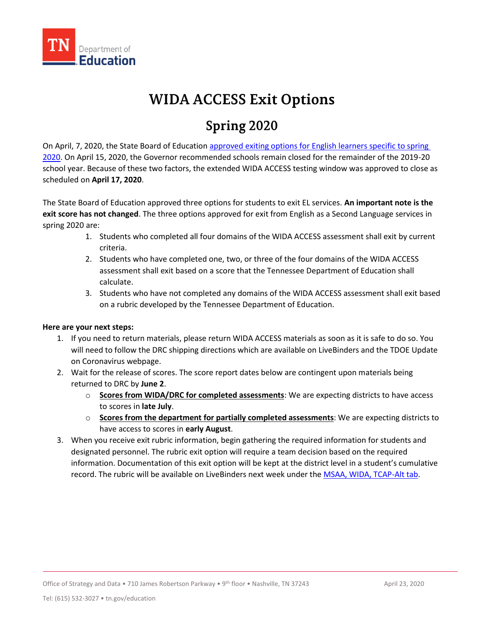

## **WIDA ACCESS Exit Options**

## **Spring 2020**

On April, 7, 2020, the State Board of Education [approved exiting options for English learners specific to spring](https://www.tn.gov/content/dam/tn/stateboardofeducation/documents/2020-sbe-meetings/april-9%2c-2020-sbe-conference-call-meeting/4-9-20%20III%20B%20English%20as%20a%20Second%20Language%20Program%20Policy%203.207%20Attachment%20Clean%20Copy.pdf)  [2020.](https://www.tn.gov/content/dam/tn/stateboardofeducation/documents/2020-sbe-meetings/april-9%2c-2020-sbe-conference-call-meeting/4-9-20%20III%20B%20English%20as%20a%20Second%20Language%20Program%20Policy%203.207%20Attachment%20Clean%20Copy.pdf) On April 15, 2020, the Governor recommended schools remain closed for the remainder of the 2019-20 school year. Because of these two factors, the extended WIDA ACCESS testing window was approved to close as scheduled on **April 17, 2020**.

 The State Board of Education approved three options for students to exit EL services. **An important note is the**  spring 2020 are: **exit score has not changed**. The three options approved for exit from English as a Second Language services in

- criteria. 1. Students who completed all four domains of the WIDA ACCESS assessment shall exit by current
- 2. Students who have completed one, two, or three of the four domains of the WIDA ACCESS assessment shall exit based on a score that the Tennessee Department of Education shall calculate.
- 3. Students who have not completed any domains of the WIDA ACCESS assessment shall exit based on a rubric developed by the Tennessee Department of Education.

## **Here are your next steps:**

- 1. If you need to return materials, please return WIDA ACCESS materials as soon as it is safe to do so. You will need to follow the DRC shipping directions which are available on LiveBinders and the TDOE Update on Coronavirus webpage.
- returned to DRC by **June 2**. 2. Wait for the release of scores. The score report dates below are contingent upon materials being
	- to scores in **late July**. o **Scores from WIDA/DRC for completed assessments**: We are expecting districts to have access
	- o **Scores from the department for partially completed assessments**: We are expecting districts to have access to scores in **early August**.
- 3. When you receive exit rubric information, begin gathering the required information for students and designated personnel. The rubric exit option will require a team decision based on the required information. Documentation of this exit option will be kept at the district level in a student's cumulative record. The rubric will be available on LiveBinders next week under the [MSAA, WIDA, TCAP-Alt tab.](http://www.livebinders.com/play/play/2244559?tabid=5309e400-8393-b02a-d4a0-0ec196cca9bc)